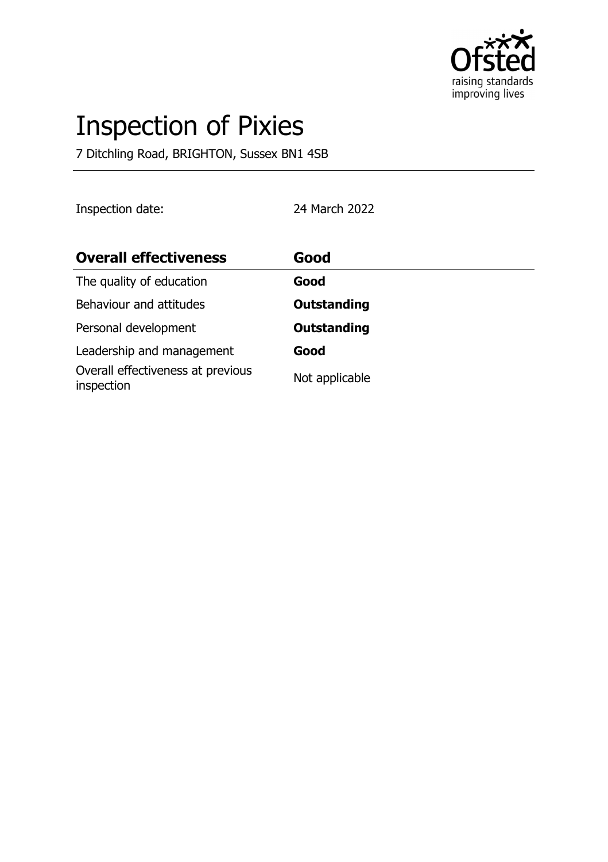

# Inspection of Pixies

7 Ditchling Road, BRIGHTON, Sussex BN1 4SB

Inspection date: 24 March 2022

| <b>Overall effectiveness</b>                    | Good               |
|-------------------------------------------------|--------------------|
| The quality of education                        | Good               |
| Behaviour and attitudes                         | <b>Outstanding</b> |
| Personal development                            | <b>Outstanding</b> |
| Leadership and management                       | Good               |
| Overall effectiveness at previous<br>inspection | Not applicable     |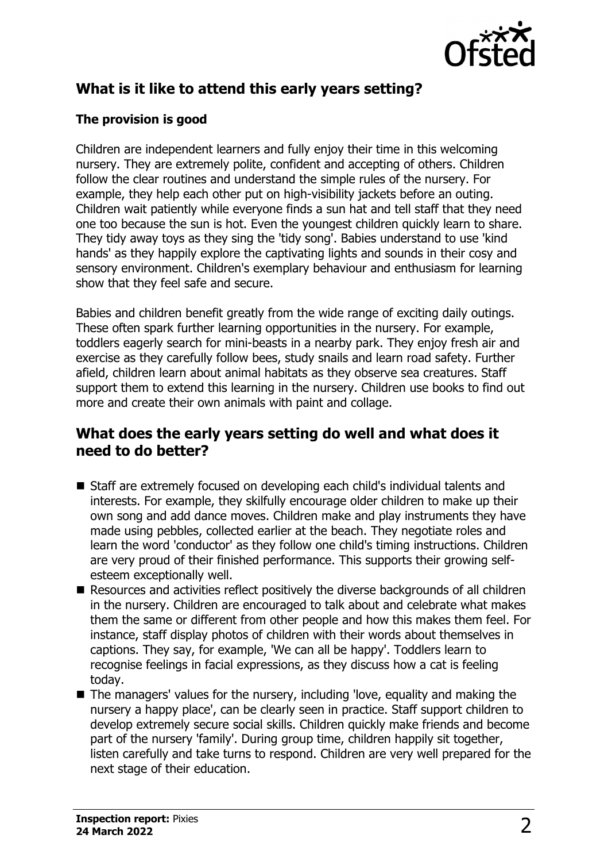

# **What is it like to attend this early years setting?**

## **The provision is good**

Children are independent learners and fully enjoy their time in this welcoming nursery. They are extremely polite, confident and accepting of others. Children follow the clear routines and understand the simple rules of the nursery. For example, they help each other put on high-visibility jackets before an outing. Children wait patiently while everyone finds a sun hat and tell staff that they need one too because the sun is hot. Even the youngest children quickly learn to share. They tidy away toys as they sing the 'tidy song'. Babies understand to use 'kind hands' as they happily explore the captivating lights and sounds in their cosy and sensory environment. Children's exemplary behaviour and enthusiasm for learning show that they feel safe and secure.

Babies and children benefit greatly from the wide range of exciting daily outings. These often spark further learning opportunities in the nursery. For example, toddlers eagerly search for mini-beasts in a nearby park. They enjoy fresh air and exercise as they carefully follow bees, study snails and learn road safety. Further afield, children learn about animal habitats as they observe sea creatures. Staff support them to extend this learning in the nursery. Children use books to find out more and create their own animals with paint and collage.

## **What does the early years setting do well and what does it need to do better?**

- Staff are extremely focused on developing each child's individual talents and interests. For example, they skilfully encourage older children to make up their own song and add dance moves. Children make and play instruments they have made using pebbles, collected earlier at the beach. They negotiate roles and learn the word 'conductor' as they follow one child's timing instructions. Children are very proud of their finished performance. This supports their growing selfesteem exceptionally well.
- $\blacksquare$  Resources and activities reflect positively the diverse backgrounds of all children in the nursery. Children are encouraged to talk about and celebrate what makes them the same or different from other people and how this makes them feel. For instance, staff display photos of children with their words about themselves in captions. They say, for example, 'We can all be happy'. Toddlers learn to recognise feelings in facial expressions, as they discuss how a cat is feeling today.
- $\blacksquare$  The managers' values for the nursery, including 'love, equality and making the nursery a happy place', can be clearly seen in practice. Staff support children to develop extremely secure social skills. Children quickly make friends and become part of the nursery 'family'. During group time, children happily sit together, listen carefully and take turns to respond. Children are very well prepared for the next stage of their education.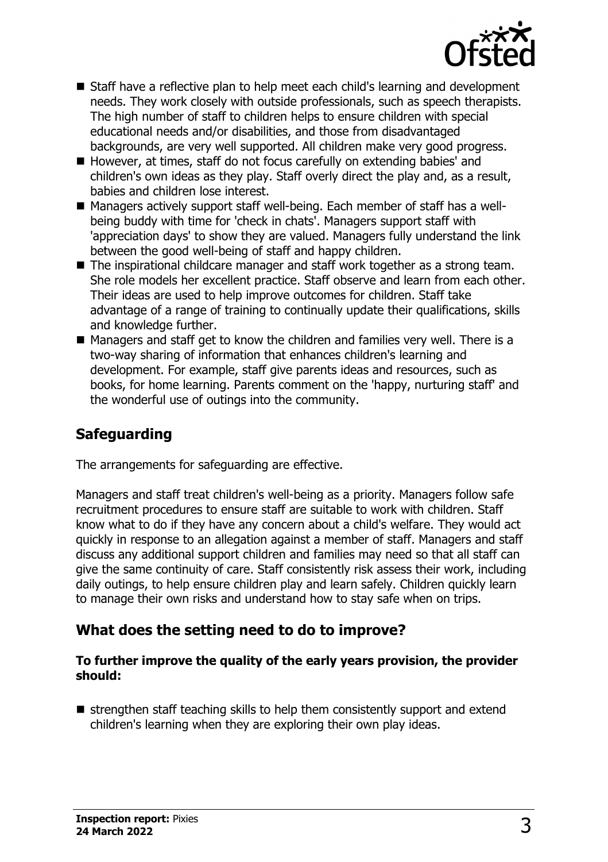

- Staff have a reflective plan to help meet each child's learning and development needs. They work closely with outside professionals, such as speech therapists. The high number of staff to children helps to ensure children with special educational needs and/or disabilities, and those from disadvantaged backgrounds, are very well supported. All children make very good progress.
- However, at times, staff do not focus carefully on extending babies' and children's own ideas as they play. Staff overly direct the play and, as a result, babies and children lose interest.
- Managers actively support staff well-being. Each member of staff has a wellbeing buddy with time for 'check in chats'. Managers support staff with 'appreciation days' to show they are valued. Managers fully understand the link between the good well-being of staff and happy children.
- The inspirational childcare manager and staff work together as a strong team. She role models her excellent practice. Staff observe and learn from each other. Their ideas are used to help improve outcomes for children. Staff take advantage of a range of training to continually update their qualifications, skills and knowledge further.
- $\blacksquare$  Managers and staff get to know the children and families very well. There is a two-way sharing of information that enhances children's learning and development. For example, staff give parents ideas and resources, such as books, for home learning. Parents comment on the 'happy, nurturing staff' and the wonderful use of outings into the community.

# **Safeguarding**

The arrangements for safeguarding are effective.

Managers and staff treat children's well-being as a priority. Managers follow safe recruitment procedures to ensure staff are suitable to work with children. Staff know what to do if they have any concern about a child's welfare. They would act quickly in response to an allegation against a member of staff. Managers and staff discuss any additional support children and families may need so that all staff can give the same continuity of care. Staff consistently risk assess their work, including daily outings, to help ensure children play and learn safely. Children quickly learn to manage their own risks and understand how to stay safe when on trips.

# **What does the setting need to do to improve?**

#### **To further improve the quality of the early years provision, the provider should:**

 $\blacksquare$  strengthen staff teaching skills to help them consistently support and extend children's learning when they are exploring their own play ideas.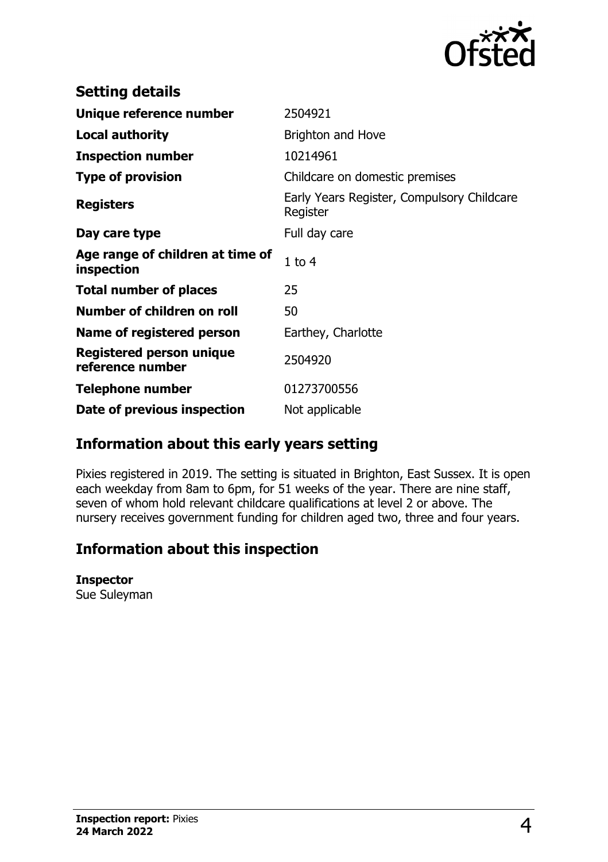

| <b>Setting details</b>                         |                                                        |
|------------------------------------------------|--------------------------------------------------------|
| Unique reference number                        | 2504921                                                |
| <b>Local authority</b>                         | <b>Brighton and Hove</b>                               |
| <b>Inspection number</b>                       | 10214961                                               |
| <b>Type of provision</b>                       | Childcare on domestic premises                         |
| <b>Registers</b>                               | Early Years Register, Compulsory Childcare<br>Register |
| Day care type                                  | Full day care                                          |
| Age range of children at time of<br>inspection | $1$ to $4$                                             |
| <b>Total number of places</b>                  | 25                                                     |
| Number of children on roll                     | 50                                                     |
| Name of registered person                      | Earthey, Charlotte                                     |
| Registered person unique<br>reference number   | 2504920                                                |
| <b>Telephone number</b>                        | 01273700556                                            |
| Date of previous inspection                    | Not applicable                                         |

# **Information about this early years setting**

Pixies registered in 2019. The setting is situated in Brighton, East Sussex. It is open each weekday from 8am to 6pm, for 51 weeks of the year. There are nine staff, seven of whom hold relevant childcare qualifications at level 2 or above. The nursery receives government funding for children aged two, three and four years.

# **Information about this inspection**

#### **Inspector**

Sue Suleyman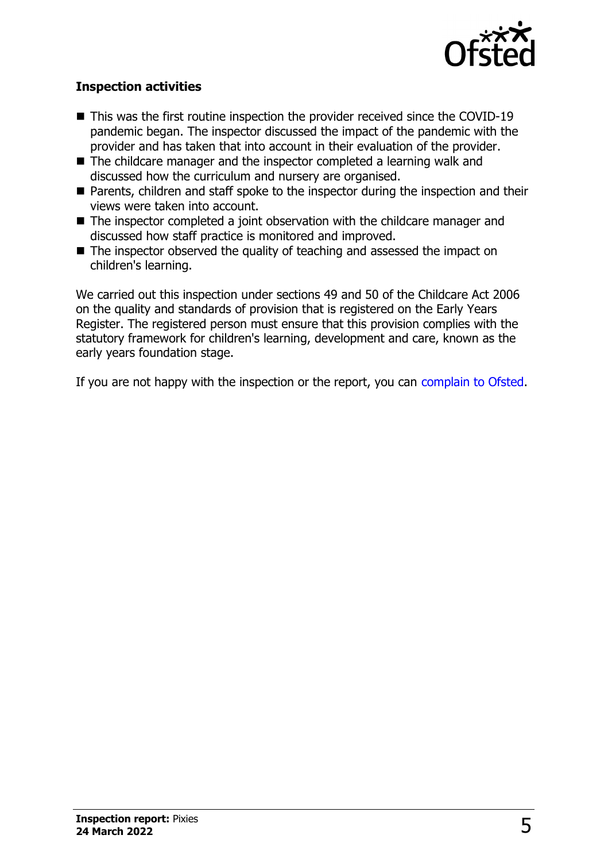

### **Inspection activities**

- $\blacksquare$  This was the first routine inspection the provider received since the COVID-19 pandemic began. The inspector discussed the impact of the pandemic with the provider and has taken that into account in their evaluation of the provider.
- $\blacksquare$  The childcare manager and the inspector completed a learning walk and discussed how the curriculum and nursery are organised.
- Parents, children and staff spoke to the inspector during the inspection and their views were taken into account.
- $\blacksquare$  The inspector completed a joint observation with the childcare manager and discussed how staff practice is monitored and improved.
- The inspector observed the quality of teaching and assessed the impact on children's learning.

We carried out this inspection under sections 49 and 50 of the Childcare Act 2006 on the quality and standards of provision that is registered on the Early Years Register. The registered person must ensure that this provision complies with the statutory framework for children's learning, development and care, known as the early years foundation stage.

If you are not happy with the inspection or the report, you can complain to Ofsted.